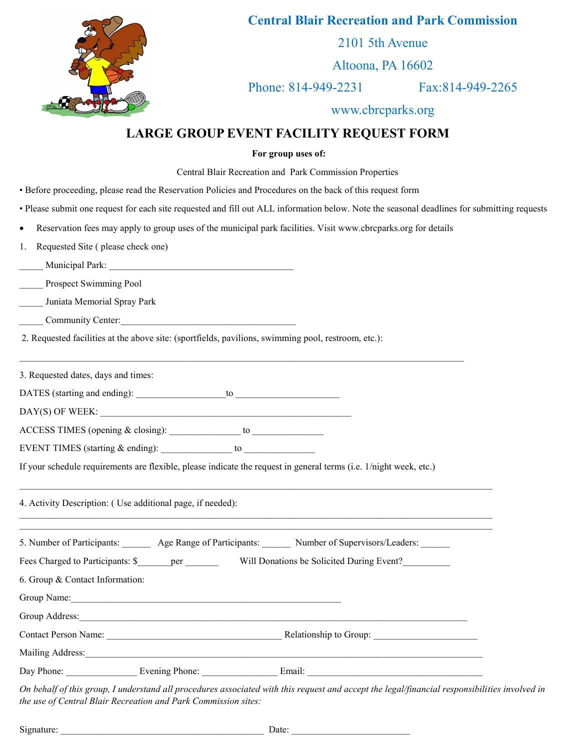

## **Central Blair Recreation and Park Commission**

2101 5th Avenue

Altoona, PA 16602

Phone: 814-949-2231 Fax:814-949-2265

www.cbrcparks.org

## **LARGE GROUP EVENT FACILITY REQUEST FORM**

## **For group uses of:**

Central Blair Recreation and Park Commission Properties

• Before proceeding, please read the Reservation Policies and Procedures on the back of this request form

• Please submit one request for each site requested and fill out ALL information below. Note the seasonal deadlines for submitting requests

Reservation fees may apply to group uses of the municipal park facilities. Visit www.cbrcparks.org for details

 $\_$  ,  $\_$  ,  $\_$  ,  $\_$  ,  $\_$  ,  $\_$  ,  $\_$  ,  $\_$  ,  $\_$  ,  $\_$  ,  $\_$  ,  $\_$  ,  $\_$  ,  $\_$  ,  $\_$  ,  $\_$  ,  $\_$  ,  $\_$  ,  $\_$  ,  $\_$  ,  $\_$  ,  $\_$  ,  $\_$  ,  $\_$  ,  $\_$  ,  $\_$  ,  $\_$  ,  $\_$  ,  $\_$  ,  $\_$  ,  $\_$  ,  $\_$  ,  $\_$  ,  $\_$  ,  $\_$  ,  $\_$  ,  $\_$  ,

1. Requested Site ( please check one)

\_\_\_\_\_ Municipal Park: \_\_\_\_\_\_\_\_\_\_\_\_\_\_\_\_\_\_\_\_\_\_\_\_\_\_\_\_\_\_\_\_\_\_\_\_\_\_\_

\_\_\_\_\_ Prospect Swimming Pool

\_\_\_\_\_ Juniata Memorial Spray Park

Community Center:

2. Requested facilities at the above site: (sportfields, pavilions, swimming pool, restroom, etc.):

3. Requested dates, days and times:

DATES (starting and ending): \_\_\_\_\_\_\_\_\_\_\_\_\_\_\_\_\_\_\_to \_\_\_\_\_\_\_\_\_\_\_\_\_\_\_\_\_\_\_\_\_\_

 $DAY(S)$  OF WEEK:

ACCESS TIMES (opening & closing): \_\_\_\_\_\_\_\_\_\_\_\_\_\_\_ to \_\_\_\_\_\_\_\_\_\_\_\_\_\_\_

EVENT TIMES (starting  $\&$  ending):  $\qquad \qquad$  to

If your schedule requirements are flexible, please indicate the request in general terms (i.e. 1/night week, etc.)

4. Activity Description: ( Use additional page, if needed):

|                                 |                | 5. Number of Participants: Age Range of Participants: Number of Supervisors/Leaders: |
|---------------------------------|----------------|--------------------------------------------------------------------------------------|
|                                 |                | Will Donations be Solicited During Event?                                            |
| 6. Group & Contact Information: |                |                                                                                      |
|                                 |                |                                                                                      |
|                                 |                |                                                                                      |
| Contact Person Name:            |                |                                                                                      |
| Mailing Address:                |                |                                                                                      |
| Day Phone:                      | Evening Phone: | Email:                                                                               |

 $\_$  , and the state of the state of the state of the state of the state of the state of the state of the state of the state of the state of the state of the state of the state of the state of the state of the state of the

 $\_$  , and the state of the state of the state of the state of the state of the state of the state of the state of the state of the state of the state of the state of the state of the state of the state of the state of the  $\_$  , and the state of the state of the state of the state of the state of the state of the state of the state of the state of the state of the state of the state of the state of the state of the state of the state of the

*On behalf of this group, I understand all procedures associated with this request and accept the legal/financial responsibilities involved in the use of Central Blair Recreation and Park Commission sites:*